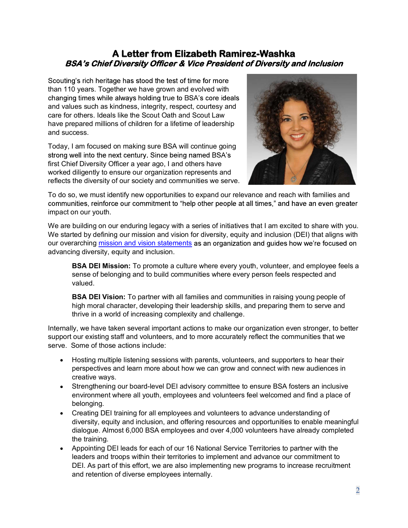## A Letter from Elizabeth Ramirez-Washka BSA's Chief Diversity Officer & Vice President of Diversity and Inclusion

Scouting's rich heritage has stood the test of time for more than 110 years. Together we have grown and evolved with changing times while always holding true to BSA's core ideals and values such as kindness, integrity, respect, courtesy and care for others. Ideals like the Scout Oath and Scout Law have prepared millions of children for a lifetime of leadership and success.

Today, I am focused on making sure BSA will continue going strong well into the next century. Since being named BSA's first Chief Diversity Officer a year ago, I and others have worked diligently to ensure our organization represents and reflects the diversity of our society and communities we serve.



To do so, we must identify new opportunities to expand our relevance and reach with families and communities, reinforce our commitment to "help other people at all times," and have an even greater impact on our youth.

We are building on our enduring legacy with a series of initiatives that I am excited to share with you. We started by defining our mission and vision for diversity, equity and inclusion (DEI) that aligns with our overarching mission and vision statements as an organization and guides how we're focused on advancing diversity, equity and inclusion.

**BSA DEI Mission:** To promote a culture where every youth, volunteer, and employee feels a sense of belonging and to build communities where every person feels respected and valued.

**BSA DEI Vision:** To partner with all families and communities in raising young people of high moral character, developing their leadership skills, and preparing them to serve and thrive in a world of increasing complexity and challenge.

Internally, we have taken several important actions to make our organization even stronger, to better support our existing staff and volunteers, and to more accurately reflect the communities that we serve. Some of those actions include:

- Hosting multiple listening sessions with parents, volunteers, and supporters to hear their perspectives and learn more about how we can grow and connect with new audiences in creative ways.
- Strengthening our board-level DEI advisory committee to ensure BSA fosters an inclusive environment where all youth, employees and volunteers feel welcomed and find a place of belonging.
- Creating DEI training for all employees and volunteers to advance understanding of diversity, equity and inclusion, and offering resources and opportunities to enable meaningful dialogue. Almost 6,000 BSA employees and over 4,000 volunteers have already completed the training.
- Appointing DEI leads for each of our 16 National Service Territories to partner with the leaders and troops within their territories to implement and advance our commitment to DEI. As part of this effort, we are also implementing new programs to increase recruitment and retention of diverse employees internally.